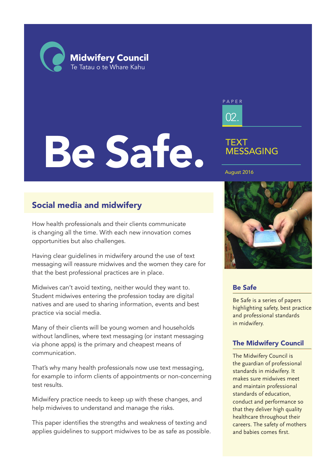**Midwifery Council** Te Tatau o te Whare Kahu

# Be Safe.



# TEXT MESSAGING

### August 2016

# Social media and midwifery

How health professionals and their clients communicate is changing all the time. With each new innovation comes opportunities but also challenges.

Having clear guidelines in midwifery around the use of text messaging will reassure midwives and the women they care for that the best professional practices are in place.

Midwives can't avoid texting, neither would they want to. Student midwives entering the profession today are digital natives and are used to sharing information, events and best practice via social media.

Many of their clients will be young women and households without landlines, where text messaging (or instant messaging via phone apps) is the primary and cheapest means of communication.

That's why many health professionals now use text messaging, for example to inform clients of appointments or non-concerning test results.

Midwifery practice needs to keep up with these changes, and help midwives to understand and manage the risks.

This paper identifies the strengths and weakness of texting and applies guidelines to support midwives to be as safe as possible.



### Be Safe

Be Safe is a series of papers highlighting safety, best practice and professional standards in midwifery.

### The Midwifery Council

The Midwifery Council is the guardian of professional standards in midwifery. It makes sure midwives meet and maintain professional standards of education, conduct and performance so that they deliver high quality healthcare throughout their careers. The safety of mothers and babies comes first.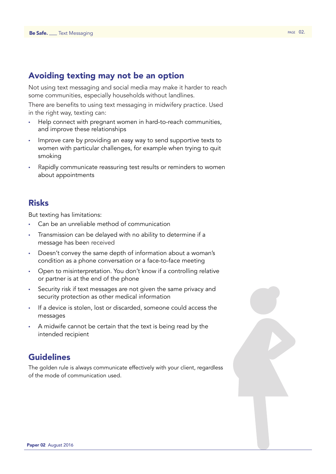# Avoiding texting may not be an option

Not using text messaging and social media may make it harder to reach some communities, especially households without landlines.

There are benefits to using text messaging in midwifery practice. Used in the right way, texting can:

- Help connect with pregnant women in hard-to-reach communities, and improve these relationships
- Improve care by providing an easy way to send supportive texts to women with particular challenges, for example when trying to quit smoking
- Rapidly communicate reassuring test results or reminders to women about appointments

### Risks

But texting has limitations:

- Can be an unreliable method of communication
- Transmission can be delayed with no ability to determine if a message has been received
- Doesn't convey the same depth of information about a woman's condition as a phone conversation or a face-to-face meeting
- Open to misinterpretation. You don't know if a controlling relative or partner is at the end of the phone
- Security risk if text messages are not given the same privacy and security protection as other medical information
- If a device is stolen, lost or discarded, someone could access the messages
- A midwife cannot be certain that the text is being read by the intended recipient

# Guidelines

The golden rule is always communicate effectively with your client, regardless of the mode of communication used.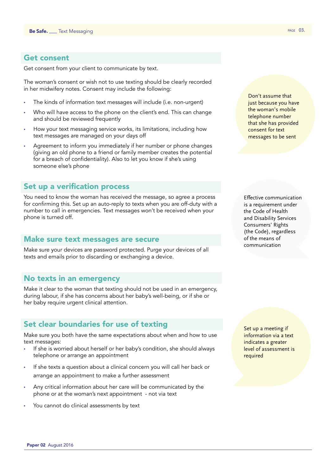### Get consent

Get consent from your client to communicate by text.

The woman's consent or wish not to use texting should be clearly recorded in her midwifery notes. Consent may include the following:

- The kinds of information text messages will include (i.e. non-urgent)
- Who will have access to the phone on the client's end. This can change and should be reviewed frequently
- How your text messaging service works, its limitations, including how text messages are managed on your days off
- Agreement to inform you immediately if her number or phone changes (giving an old phone to a friend or family member creates the potential for a breach of confidentiality). Also to let you know if she's using someone else's phone

### Set up a verification process

You need to know the woman has received the message, so agree a process for confirming this. Set up an auto-reply to texts when you are off-duty with a number to call in emergencies. Text messages won't be received when your phone is turned off.

### Make sure text messages are secure

Make sure your devices are password protected. Purge your devices of all texts and emails prior to discarding or exchanging a device.

### No texts in an emergency

Make it clear to the woman that texting should not be used in an emergency, during labour, if she has concerns about her baby's well-being, or if she or her baby require urgent clinical attention.

### Set clear boundaries for use of texting

Make sure you both have the same expectations about when and how to use text messages:

- If she is worried about herself or her baby's condition, she should always telephone or arrange an appointment
- If she texts a question about a clinical concern you will call her back or arrange an appointment to make a further assessment
- Any critical information about her care will be communicated by the phone or at the woman's next appointment - not via text
- You cannot do clinical assessments by text

Don't assume that just because you have the woman's mobile telephone number that she has provided consent for text messages to be sent

Effective communication is a requirement under the Code of Health and Disability Services Consumers' Rights (the Code), regardless of the means of communication

Set up a meeting if information via a text indicates a greater level of assessment is required